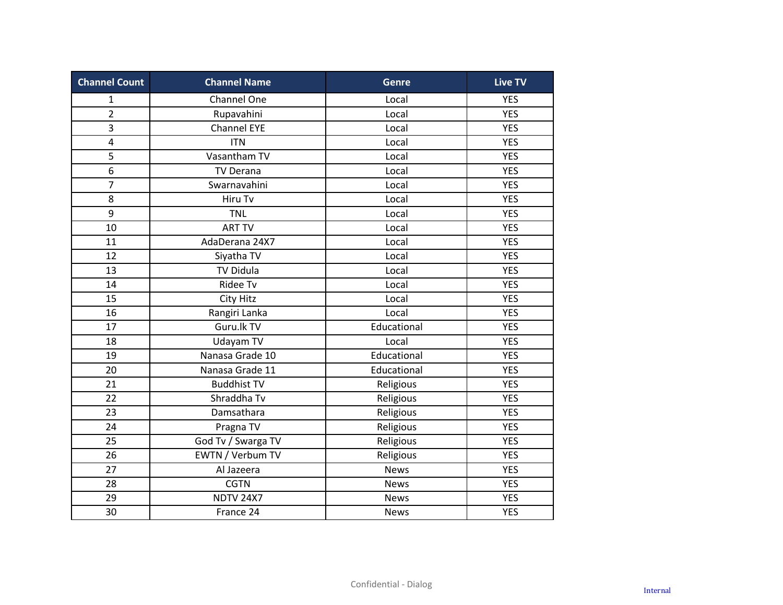| <b>Channel Count</b> | <b>Channel Name</b> | <b>Genre</b> | <b>Live TV</b> |
|----------------------|---------------------|--------------|----------------|
| $\mathbf 1$          | Channel One         | Local        | <b>YES</b>     |
| $\overline{2}$       | Rupavahini          | Local        | <b>YES</b>     |
| $\overline{3}$       | <b>Channel EYE</b>  | Local        | <b>YES</b>     |
| 4                    | <b>ITN</b>          | Local        | <b>YES</b>     |
| 5                    | Vasantham TV        | Local        | <b>YES</b>     |
| 6                    | <b>TV Derana</b>    | Local        | <b>YES</b>     |
| $\overline{7}$       | Swarnavahini        | Local        | <b>YES</b>     |
| 8                    | Hiru Tv             | Local        | <b>YES</b>     |
| 9                    | <b>TNL</b>          | Local        | <b>YES</b>     |
| 10                   | <b>ART TV</b>       | Local        | <b>YES</b>     |
| 11                   | AdaDerana 24X7      | Local        | <b>YES</b>     |
| 12                   | Siyatha TV          | Local        | <b>YES</b>     |
| 13                   | <b>TV Didula</b>    | Local        | <b>YES</b>     |
| 14                   | Ridee Tv            | Local        | <b>YES</b>     |
| 15                   | City Hitz           | Local        | <b>YES</b>     |
| 16                   | Rangiri Lanka       | Local        | <b>YES</b>     |
| 17                   | Guru.lk TV          | Educational  | <b>YES</b>     |
| 18                   | Udayam TV           | Local        | <b>YES</b>     |
| 19                   | Nanasa Grade 10     | Educational  | <b>YES</b>     |
| 20                   | Nanasa Grade 11     | Educational  | <b>YES</b>     |
| 21                   | <b>Buddhist TV</b>  | Religious    | <b>YES</b>     |
| 22                   | Shraddha Tv         | Religious    | <b>YES</b>     |
| 23                   | Damsathara          | Religious    | <b>YES</b>     |
| 24                   | Pragna TV           | Religious    | <b>YES</b>     |
| 25                   | God Tv / Swarga TV  | Religious    | <b>YES</b>     |
| 26                   | EWTN / Verbum TV    | Religious    | <b>YES</b>     |
| 27                   | Al Jazeera          | <b>News</b>  | <b>YES</b>     |
| 28                   | <b>CGTN</b>         | <b>News</b>  | <b>YES</b>     |
| 29                   | <b>NDTV 24X7</b>    | <b>News</b>  | <b>YES</b>     |
| 30                   | France 24           | News         | <b>YES</b>     |